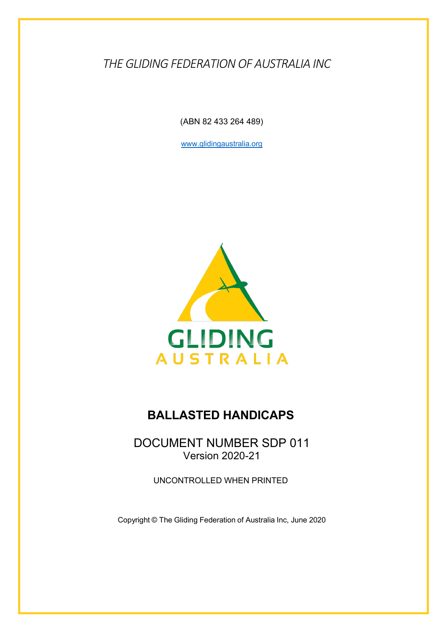*THE GLIDING FEDERATION OF AUSTRALIA INC*

(ABN 82 433 264 489)

www.glidingaustralia.org



## **BALLASTED HANDICAPS**

DOCUMENT NUMBER SDP 011 Version 2020-21

UNCONTROLLED WHEN PRINTED

Copyright © The Gliding Federation of Australia Inc, June 2020